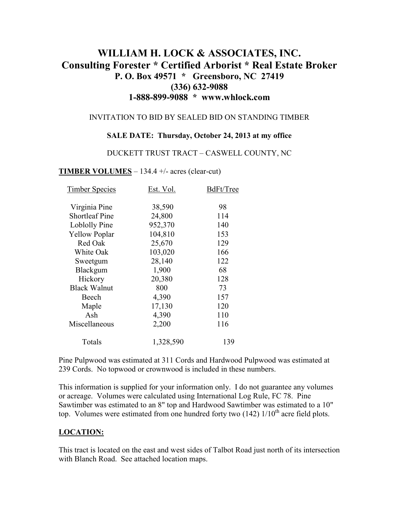# **WILLIAM H. LOCK & ASSOCIATES, INC. Consulting Forester \* Certified Arborist \* Real Estate Broker P. O. Box 49571 \* Greensboro, NC 27419 (336) 632-9088 1-888-899-9088 \* www.whlock.com**

#### INVITATION TO BID BY SEALED BID ON STANDING TIMBER

### **SALE DATE: Thursday, October 24, 2013 at my office**

#### DUCKETT TRUST TRACT – CASWELL COUNTY, NC

### **TIMBER VOLUMES** – 134.4 +/- acres (clear-cut)

| <b>Timber Species</b> | Est. Vol. | BdFt/Tree |
|-----------------------|-----------|-----------|
| Virginia Pine         | 38,590    | 98        |
| <b>Shortleaf Pine</b> | 24,800    | 114       |
| Loblolly Pine         | 952,370   | 140       |
| <b>Yellow Poplar</b>  | 104,810   | 153       |
| Red Oak               | 25,670    | 129       |
| White Oak             | 103,020   | 166       |
| Sweetgum              | 28,140    | 122       |
| Blackgum              | 1,900     | 68        |
| Hickory               | 20,380    | 128       |
| <b>Black Walnut</b>   | 800       | 73        |
| Beech                 | 4,390     | 157       |
| Maple                 | 17,130    | 120       |
| Ash                   | 4,390     | 110       |
| Miscellaneous         | 2,200     | 116       |
| Totals                | 1,328,590 | 139       |

Pine Pulpwood was estimated at 311 Cords and Hardwood Pulpwood was estimated at 239 Cords. No topwood or crownwood is included in these numbers.

This information is supplied for your information only. I do not guarantee any volumes or acreage. Volumes were calculated using International Log Rule, FC 78. Pine Sawtimber was estimated to an 8" top and Hardwood Sawtimber was estimated to a 10" top. Volumes were estimated from one hundred forty two  $(142)$   $1/10<sup>th</sup>$  acre field plots.

### **LOCATION:**

This tract is located on the east and west sides of Talbot Road just north of its intersection with Blanch Road. See attached location maps.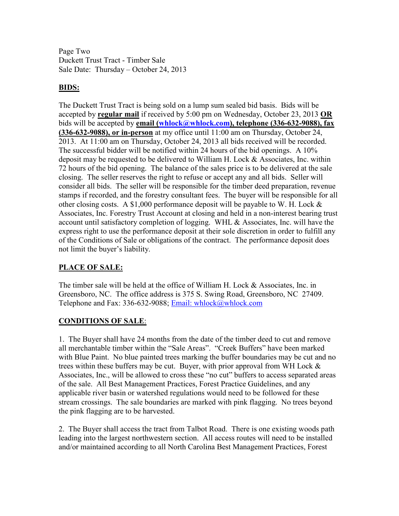Page Two Duckett Trust Tract - Timber Sale Sale Date: Thursday – October 24, 2013

## **BIDS:**

The Duckett Trust Tract is being sold on a lump sum sealed bid basis. Bids will be accepted by **regular mail** if received by 5:00 pm on Wednesday, October 23, 2013 **OR** bids will be accepted by **email (whlock@whlock.com), telephone (336-632-9088), fax (336-632-9088), or in-person** at my office until 11:00 am on Thursday, October 24, 2013. At 11:00 am on Thursday, October 24, 2013 all bids received will be recorded. The successful bidder will be notified within 24 hours of the bid openings. A 10% deposit may be requested to be delivered to William H. Lock & Associates, Inc. within 72 hours of the bid opening. The balance of the sales price is to be delivered at the sale closing. The seller reserves the right to refuse or accept any and all bids. Seller will consider all bids. The seller will be responsible for the timber deed preparation, revenue stamps if recorded, and the forestry consultant fees. The buyer will be responsible for all other closing costs. A \$1,000 performance deposit will be payable to W. H. Lock  $\&$ Associates, Inc. Forestry Trust Account at closing and held in a non-interest bearing trust account until satisfactory completion of logging. WHL & Associates, Inc. will have the express right to use the performance deposit at their sole discretion in order to fulfill any of the Conditions of Sale or obligations of the contract. The performance deposit does not limit the buyer's liability.

### **PLACE OF SALE:**

The timber sale will be held at the office of William H. Lock & Associates, Inc. in Greensboro, NC. The office address is 375 S. Swing Road, Greensboro, NC 27409. Telephone and Fax: 336-632-9088; Email: whlock@whlock.com

### **CONDITIONS OF SALE**:

1. The Buyer shall have 24 months from the date of the timber deed to cut and remove all merchantable timber within the "Sale Areas". "Creek Buffers" have been marked with Blue Paint. No blue painted trees marking the buffer boundaries may be cut and no trees within these buffers may be cut. Buyer, with prior approval from WH Lock  $\&$ Associates, Inc., will be allowed to cross these "no cut" buffers to access separated areas of the sale. All Best Management Practices, Forest Practice Guidelines, and any applicable river basin or watershed regulations would need to be followed for these stream crossings. The sale boundaries are marked with pink flagging. No trees beyond the pink flagging are to be harvested.

2. The Buyer shall access the tract from Talbot Road. There is one existing woods path leading into the largest northwestern section. All access routes will need to be installed and/or maintained according to all North Carolina Best Management Practices, Forest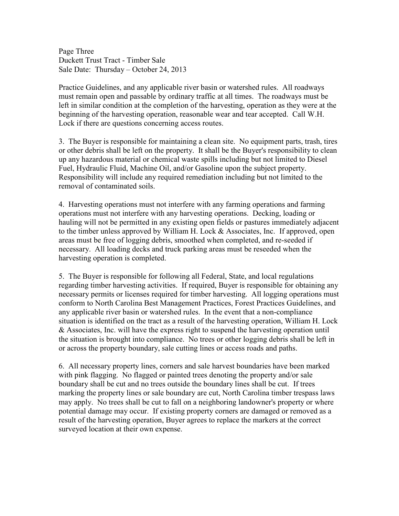Page Three Duckett Trust Tract - Timber Sale Sale Date: Thursday – October 24, 2013

Practice Guidelines, and any applicable river basin or watershed rules. All roadways must remain open and passable by ordinary traffic at all times. The roadways must be left in similar condition at the completion of the harvesting, operation as they were at the beginning of the harvesting operation, reasonable wear and tear accepted. Call W.H. Lock if there are questions concerning access routes.

3. The Buyer is responsible for maintaining a clean site. No equipment parts, trash, tires or other debris shall be left on the property. It shall be the Buyer's responsibility to clean up any hazardous material or chemical waste spills including but not limited to Diesel Fuel, Hydraulic Fluid, Machine Oil, and/or Gasoline upon the subject property. Responsibility will include any required remediation including but not limited to the removal of contaminated soils.

4. Harvesting operations must not interfere with any farming operations and farming operations must not interfere with any harvesting operations. Decking, loading or hauling will not be permitted in any existing open fields or pastures immediately adjacent to the timber unless approved by William H. Lock & Associates, Inc. If approved, open areas must be free of logging debris, smoothed when completed, and re-seeded if necessary. All loading decks and truck parking areas must be reseeded when the harvesting operation is completed.

5. The Buyer is responsible for following all Federal, State, and local regulations regarding timber harvesting activities. If required, Buyer is responsible for obtaining any necessary permits or licenses required for timber harvesting. All logging operations must conform to North Carolina Best Management Practices, Forest Practices Guidelines, and any applicable river basin or watershed rules. In the event that a non-compliance situation is identified on the tract as a result of the harvesting operation, William H. Lock & Associates, Inc. will have the express right to suspend the harvesting operation until the situation is brought into compliance. No trees or other logging debris shall be left in or across the property boundary, sale cutting lines or access roads and paths.

6. All necessary property lines, corners and sale harvest boundaries have been marked with pink flagging. No flagged or painted trees denoting the property and/or sale boundary shall be cut and no trees outside the boundary lines shall be cut. If trees marking the property lines or sale boundary are cut, North Carolina timber trespass laws may apply. No trees shall be cut to fall on a neighboring landowner's property or where potential damage may occur. If existing property corners are damaged or removed as a result of the harvesting operation, Buyer agrees to replace the markers at the correct surveyed location at their own expense.